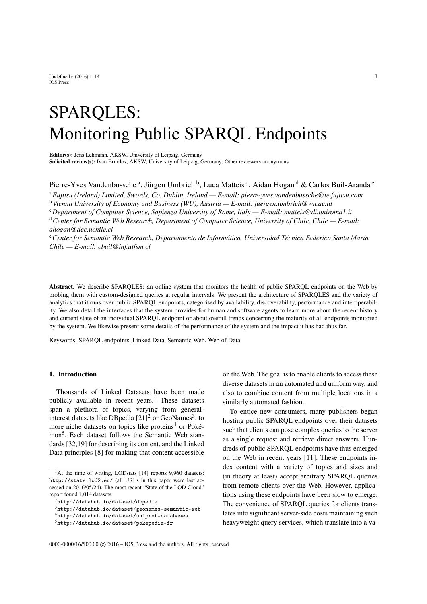Undefined n  $(2016)$  1–14 1 IOS Press

# SPARQLES: Monitoring Public SPARQL Endpoints

Editor(s): Jens Lehmann, AKSW, University of Leipzig, Germany Solicited review(s): Ivan Ermilov, AKSW, University of Leipzig, Germany; Other reviewers anonymous

Pierre-Yves V[a](#page-0-0)nden[b](#page-0-1)uss[c](#page-0-2)he <sup>a</sup>, Jürgen Umbrich <sup>b</sup>, Luca Matteis <sup>c</sup>, Ai[d](#page-0-3)an Hogan <sup>d</sup> & Carlos Buil-Aranda <sup>[e](#page-0-4)</sup>

<span id="page-0-0"></span><sup>a</sup>*Fujitsu (Ireland) Limited, Swords, Co. Dublin, Ireland — E-mail: pierre-yves.vandenbussche@ie.fujitsu.com*

<span id="page-0-1"></span><sup>b</sup>*Vienna University of Economy and Business (WU), Austria — E-mail: juergen.umbrich@wu.ac.at*

<span id="page-0-2"></span><sup>c</sup>*Department of Computer Science, Sapienza University of Rome, Italy — E-mail: matteis@di.uniroma1.it*

<span id="page-0-3"></span><sup>d</sup>*Center for Semantic Web Research, Department of Computer Science, University of Chile, Chile — E-mail: ahogan@dcc.uchile.cl*

<span id="page-0-4"></span><sup>e</sup>*Center for Semantic Web Research, Departamento de Informática, Universidad Técnica Federico Santa María, Chile — E-mail: cbuil@inf.utfsm.cl*

Abstract. We describe SPARQLES: an online system that monitors the health of public SPARQL endpoints on the Web by probing them with custom-designed queries at regular intervals. We present the architecture of SPARQLES and the variety of analytics that it runs over public SPARQL endpoints, categorised by availability, discoverability, performance and interoperability. We also detail the interfaces that the system provides for human and software agents to learn more about the recent history and current state of an individual SPARQL endpoint or about overall trends concerning the maturity of all endpoints monitored by the system. We likewise present some details of the performance of the system and the impact it has had thus far.

Keywords: SPARQL endpoints, Linked Data, Semantic Web, Web of Data

# 1. Introduction

Thousands of Linked Datasets have been made publicly available in recent years.<sup>[1](#page-0-5)</sup> These datasets span a plethora of topics, varying from generalinterest datasets like DB pedia  $[21]^2$  $[21]^2$  $[21]^2$  or GeoNames<sup>[3](#page-0-7)</sup>, to more niche datasets on topics like proteins $4$  or Poké-mon<sup>[5](#page-0-9)</sup>. Each dataset follows the Semantic Web standards [\[32](#page-16-0)[,19\]](#page-15-1) for describing its content, and the Linked Data principles [\[8\]](#page-15-2) for making that content accessible

<span id="page-0-6"></span> $^{2}$ <http://datahub.io/dataset/dbpedia>

on the Web. The goal is to enable clients to access these diverse datasets in an automated and uniform way, and also to combine content from multiple locations in a similarly automated fashion.

To entice new consumers, many publishers began hosting public SPARQL endpoints over their datasets such that clients can pose complex queries to the server as a single request and retrieve direct answers. Hundreds of public SPARQL endpoints have thus emerged on the Web in recent years [\[11\]](#page-15-4). These endpoints index content with a variety of topics and sizes and (in theory at least) accept arbitrary SPARQL queries from remote clients over the Web. However, applications using these endpoints have been slow to emerge. The convenience of SPARQL queries for clients translates into significant server-side costs maintaining such heavyweight query services, which translate into a va-

<span id="page-0-5"></span><sup>&</sup>lt;sup>1</sup>At the time of writing, LODstats [\[14\]](#page-15-3) reports 9,960 datasets: <http://stats.lod2.eu/> (all URLs in this paper were last accessed on 2016/05/24). The most recent "State of the LOD Cloud" report found 1,014 datasets.

<span id="page-0-7"></span><sup>3</sup><http://datahub.io/dataset/geonames-semantic-web>

<span id="page-0-8"></span><sup>4</sup><http://datahub.io/dataset/uniprot-databases>

<span id="page-0-9"></span><sup>5</sup><http://datahub.io/dataset/pokepedia-fr>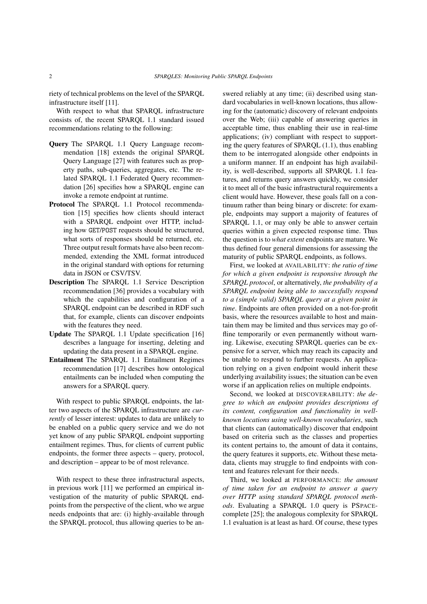riety of technical problems on the level of the SPARQL infrastructure itself [\[11\]](#page-15-4).

With respect to what that SPARQL infrastructure consists of, the recent SPARQL 1.1 standard issued recommendations relating to the following:

- Query The SPARQL 1.1 Query Language recommendation [\[18\]](#page-15-5) extends the original SPARQL Query Language [\[27\]](#page-16-1) with features such as property paths, sub-queries, aggregates, etc. The related SPARQL 1.1 Federated Query recommendation [\[26\]](#page-16-2) specifies how a SPARQL engine can invoke a remote endpoint at runtime.
- Protocol The SPARQL 1.1 Protocol recommendation [\[15\]](#page-15-6) specifies how clients should interact with a SPARQL endpoint over HTTP, including how GET/POST requests should be structured, what sorts of responses should be returned, etc. Three output result formats have also been recommended, extending the XML format introduced in the original standard with options for returning data in JSON or CSV/TSV.
- Description The SPARQL 1.1 Service Description recommendation [\[36\]](#page-16-3) provides a vocabulary with which the capabilities and configuration of a SPARQL endpoint can be described in RDF such that, for example, clients can discover endpoints with the features they need.
- Update The SPARQL 1.1 Update specification [\[16\]](#page-15-7) describes a language for inserting, deleting and updating the data present in a SPARQL engine.
- Entailment The SPARQL 1.1 Entailment Regimes recommendation [\[17\]](#page-15-8) describes how ontological entailments can be included when computing the answers for a SPARQL query.

With respect to public SPARQL endpoints, the latter two aspects of the SPARQL infrastructure are *currently* of lesser interest: updates to data are unlikely to be enabled on a public query service and we do not yet know of any public SPARQL endpoint supporting entailment regimes. Thus, for clients of current public endpoints, the former three aspects – query, protocol, and description – appear to be of most relevance.

With respect to these three infrastructural aspects, in previous work [\[11\]](#page-15-4) we performed an empirical investigation of the maturity of public SPARQL endpoints from the perspective of the client, who we argue needs endpoints that are: (i) highly-available through the SPARQL protocol, thus allowing queries to be answered reliably at any time; (ii) described using standard vocabularies in well-known locations, thus allowing for the (automatic) discovery of relevant endpoints over the Web; (iii) capable of answering queries in acceptable time, thus enabling their use in real-time applications; (iv) compliant with respect to supporting the query features of SPARQL (1.1), thus enabling them to be interrogated alongside other endpoints in a uniform manner. If an endpoint has high availability, is well-described, supports all SPARQL 1.1 features, and returns query answers quickly, we consider it to meet all of the basic infrastructural requirements a client would have. However, these goals fall on a continuum rather than being binary or discrete: for example, endpoints may support a majority of features of SPARQL 1.1, or may only be able to answer certain queries within a given expected response time. Thus the question is to *what extent* endpoints are mature. We thus defined four general dimensions for assessing the maturity of public SPARQL endpoints, as follows.

First, we looked at AVAILABILITY: *the ratio of time for which a given endpoint is responsive through the SPARQL protocol*, or alternatively, *the probability of a SPARQL endpoint being able to successfully respond to a (simple valid) SPARQL query at a given point in time*. Endpoints are often provided on a not-for-profit basis, where the resources available to host and maintain them may be limited and thus services may go offline temporarily or even permanently without warning. Likewise, executing SPARQL queries can be expensive for a server, which may reach its capacity and be unable to respond to further requests. An application relying on a given endpoint would inherit these underlying availability issues; the situation can be even worse if an application relies on multiple endpoints.

Second, we looked at DISCOVERABILITY: *the degree to which an endpoint provides descriptions of its content, configuration and functionality in wellknown locations using well-known vocabularies*, such that clients can (automatically) discover that endpoint based on criteria such as the classes and properties its content pertains to, the amount of data it contains, the query features it supports, etc. Without these metadata, clients may struggle to find endpoints with content and features relevant for their needs.

Third, we looked at PERFORMANCE: *the amount of time taken for an endpoint to answer a query over HTTP using standard SPARQL protocol methods*. Evaluating a SPARQL 1.0 query is PSPACEcomplete [\[25\]](#page-16-4); the analogous complexity for SPARQL 1.1 evaluation is at least as hard. Of course, these types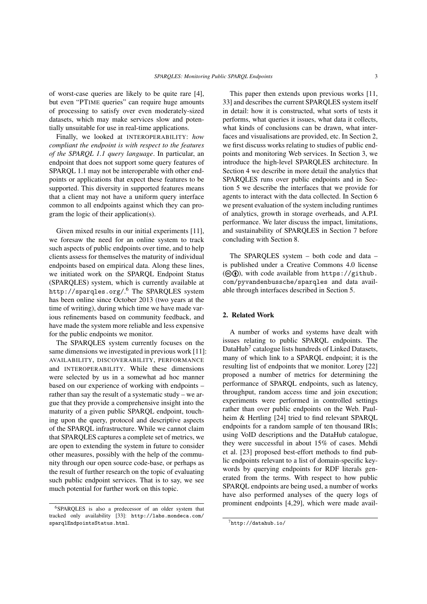of worst-case queries are likely to be quite rare [\[4\]](#page-15-9), but even "PTIME queries" can require huge amounts of processing to satisfy over even moderately-sized datasets, which may make services slow and potentially unsuitable for use in real-time applications.

Finally, we looked at INTEROPERABILITY: *how compliant the endpoint is with respect to the features of the SPARQL 1.1 query language*. In particular, an endpoint that does not support some query features of SPARQL 1.1 may not be interoperable with other endpoints or applications that expect these features to be supported. This diversity in supported features means that a client may not have a uniform query interface common to all endpoints against which they can program the logic of their application(s).

Given mixed results in our initial experiments [\[11\]](#page-15-4), we foresaw the need for an online system to track such aspects of public endpoints over time, and to help clients assess for themselves the maturity of individual endpoints based on empirical data. Along these lines, we initiated work on the SPARQL Endpoint Status (SPARQLES) system, which is currently available at <http://sparqles.org/>. [6](#page-2-0) The SPARQLES system has been online since October 2013 (two years at the time of writing), during which time we have made various refinements based on community feedback, and have made the system more reliable and less expensive for the public endpoints we monitor.

The SPARQLES system currently focuses on the same dimensions we investigated in previous work [\[11\]](#page-15-4): AVAILABILITY, DISCOVERABILITY, PERFORMANCE and INTEROPERABILITY. While these dimensions were selected by us in a somewhat ad hoc manner based on our experience of working with endpoints – rather than say the result of a systematic study – we argue that they provide a comprehensive insight into the maturity of a given public SPARQL endpoint, touching upon the query, protocol and descriptive aspects of the SPARQL infrastructure. While we cannot claim that SPARQLES captures a complete set of metrics, we are open to extending the system in future to consider other measures, possibly with the help of the community through our open source code-base, or perhaps as the result of further research on the topic of evaluating such public endpoint services. That is to say, we see much potential for further work on this topic.

This paper then extends upon previous works [\[11,](#page-15-4) [33\]](#page-16-5) and describes the current SPARQLES system itself in detail: how it is constructed, what sorts of tests it performs, what queries it issues, what data it collects, what kinds of conclusions can be drawn, what interfaces and visualisations are provided, etc. In Section [2,](#page-2-1) we first discuss works relating to studies of public endpoints and monitoring Web services. In Section [3,](#page-3-0) we introduce the high-level SPARQLES architecture. In Section [4](#page-4-0) we describe in more detail the analytics that SPARQLES runs over public endpoints and in Section [5](#page-8-0) we describe the interfaces that we provide for agents to interact with the data collected. In Section [6](#page-10-0) we present evaluation of the system including runtimes of analytics, growth in storage overheads, and A.P.I. performance. We later discuss the impact, limitations, and sustainability of SPARQLES in Section [7](#page-12-0) before concluding with Section [8.](#page-14-0)

The SPARQLES system – both code and data – is published under a Creative Commons 4.0 license  $(\mathcal{C}(\widehat{f}))$ , with code available from [https://github.](https://github.com/pyvandenbussche/sparqles) [com/pyvandenbussche/sparqles](https://github.com/pyvandenbussche/sparqles) and data available through interfaces described in Section [5.](#page-8-0)

#### <span id="page-2-1"></span>2. Related Work

A number of works and systems have dealt with issues relating to public SPARQL endpoints. The DataHub<sup>[7](#page-2-2)</sup> catalogue lists hundreds of Linked Datasets, many of which link to a SPARQL endpoint; it is the resulting list of endpoints that we monitor. Lorey [\[22\]](#page-15-10) proposed a number of metrics for determining the performance of SPARQL endpoints, such as latency, throughput, random access time and join execution; experiments were performed in controlled settings rather than over public endpoints on the Web. Paulheim & Hertling [\[24\]](#page-16-6) tried to find relevant SPARQL endpoints for a random sample of ten thousand IRIs; using VoID descriptions and the DataHub catalogue, they were successful in about 15% of cases. Mehdi et al. [\[23\]](#page-16-7) proposed best-effort methods to find public endpoints relevant to a list of domain-specific keywords by querying endpoints for RDF literals generated from the terms. With respect to how public SPARQL endpoints are being used, a number of works have also performed analyses of the query logs of prominent endpoints [\[4,](#page-15-9)[29\]](#page-16-8), which were made avail-

<span id="page-2-0"></span><sup>6</sup>SPARQLES is also a predecessor of an older system that tracked only availability [\[33\]](#page-16-5): [http://labs.mondeca.com/](http://labs.mondeca.com/sparqlEndpointsStatus.html) [sparqlEndpointsStatus.html](http://labs.mondeca.com/sparqlEndpointsStatus.html).

<span id="page-2-2"></span> $7$ <http://datahub.io/>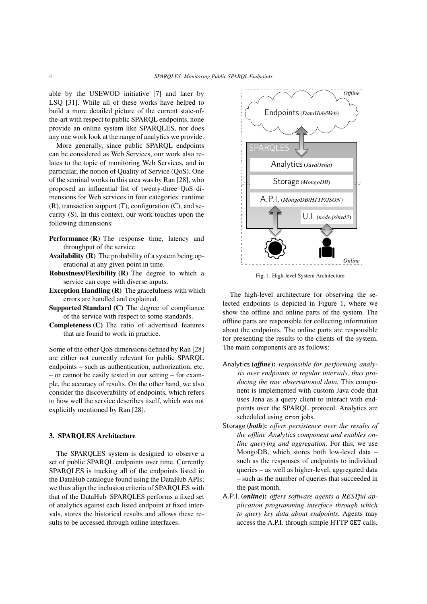able by the USEWOD initiative [\[7\]](#page-15-11) and later by LSQ [\[31\]](#page-16-9). While all of these works have helped to build a more detailed picture of the current state-ofthe-art with respect to public SPARQL endpoints, none provide an online system like SPARQLES, nor does any one work look at the range of analytics we provide.

More generally, since public SPARQL endpoints can be considered as Web Services, our work also relates to the topic of monitoring Web Services, and in particular, the notion of Quality of Service (QoS). One of the seminal works in this area was by Ran [\[28\]](#page-16-10), who proposed an influential list of twenty-three QoS dimensions for Web services in four categories: runtime  $(R)$ , transaction support  $(T)$ , configuration  $(C)$ , and security (S). In this context, our work touches upon the following dimensions:

- Performance (R) The response time, latency and throughput of the service.
- Availability (R) The probability of a system being operational at any given point in time.
- Robustness/Flexibility (R) The degree to which a service can cope with diverse inputs.
- Exception Handling (R) The gracefulness with which errors are handled and explained.
- Supported Standard (C) The degree of compliance of the service with respect to some standards.
- Completeness (C) The ratio of advertised features that are found to work in practice.

Some of the other QoS dimensions defined by Ran [\[28\]](#page-16-10) are either not currently relevant for public SPARQL endpoints – such as authentication, authorization, etc. – or cannot be easily tested in our setting – for example, the accuracy of results. On the other hand, we also consider the discoverability of endpoints, which refers to how well the service describes itself, which was not explicitly mentioned by Ran [\[28\]](#page-16-10).

# <span id="page-3-0"></span>3. SPARQLES Architecture

The SPARQLES system is designed to observe a set of public SPARQL endpoints over time. Currently SPARQLES is tracking all of the endpoints listed in the DataHub catalogue found using the DataHub APIs; we thus align the inclusion criteria of SPARQLES with that of the DataHub. SPARQLES performs a fixed set of analytics against each listed endpoint at fixed intervals, stores the historical results and allows these results to be accessed through online interfaces.

<span id="page-3-1"></span>

Fig. 1. High-level System Architecture

The high-level architecture for observing the selected endpoints is depicted in Figure [1,](#page-3-1) where we show the offline and online parts of the system. The offline parts are responsible for collecting information about the endpoints. The online parts are responsible for presenting the results to the clients of the system. The main components are as follows:

- Analytics (*offine*): *responsible for performing analysis over endpoints at regular intervals, thus producing the raw observational data.* This component is implemented with custom Java code that uses Jena as a query client to interact with endpoints over the SPARQL protocol. Analytics are scheduled using cron jobs.
- Storage (*both*): *offers persistence over the results of the offline* Analytics *component and enables online querying and aggregation.* For this, we use MongoDB, which stores both low-level data – such as the responses of endpoints to individual queries – as well as higher-level, aggregated data – such as the number of queries that succeeded in the past month.
- A.P.I. (*online*): *offers software agents a RESTful application programming interface through which to query key data about endpoints.* Agents may access the A.P.I. through simple HTTP GET calls,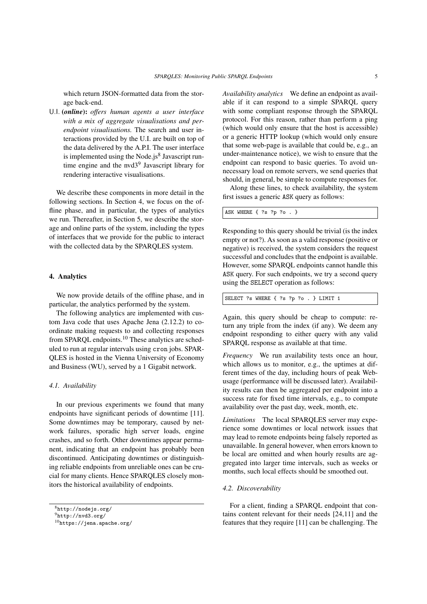which return JSON-formatted data from the storage back-end.

U.I. (*online*): *offers human agents a user interface with a mix of aggregate visualisations and perendpoint visualisations.* The search and user interactions provided by the U.I. are built on top of the data delivered by the A.P.I. The user interface is implemented using the Node.js[8](#page-4-1) Javascript run-time engine and the nvd3<sup>[9](#page-4-2)</sup> Javascript library for rendering interactive visualisations.

We describe these components in more detail in the following sections. In Section [4,](#page-4-0) we focus on the offline phase, and in particular, the types of analytics we run. Thereafter, in Section [5,](#page-8-0) we describe the storage and online parts of the system, including the types of interfaces that we provide for the public to interact with the collected data by the SPARQLES system.

# <span id="page-4-0"></span>4. Analytics

We now provide details of the offline phase, and in particular, the analytics performed by the system.

The following analytics are implemented with custom Java code that uses Apache Jena (2.12.2) to coordinate making requests to and collecting responses from SPARQL endpoints.[10](#page-4-3) These analytics are scheduled to run at regular intervals using cron jobs. SPAR-QLES is hosted in the Vienna University of Economy and Business (WU), served by a 1 Gigabit network.

#### *4.1. Availability*

In our previous experiments we found that many endpoints have significant periods of downtime [\[11\]](#page-15-4). Some downtimes may be temporary, caused by network failures, sporadic high server loads, engine crashes, and so forth. Other downtimes appear permanent, indicating that an endpoint has probably been discontinued. Anticipating downtimes or distinguishing reliable endpoints from unreliable ones can be crucial for many clients. Hence SPARQLES closely monitors the historical availability of endpoints.

*Availability analytics* We define an endpoint as available if it can respond to a simple SPARQL query with some compliant response through the SPARQL protocol. For this reason, rather than perform a ping (which would only ensure that the host is accessible) or a generic HTTP lookup (which would only ensure that some web-page is available that could be, e.g., an under-maintenance notice), we wish to ensure that the endpoint can respond to basic queries. To avoid unnecessary load on remote servers, we send queries that should, in general, be simple to compute responses for.

Along these lines, to check availability, the system first issues a generic ASK query as follows:

ASK WHERE { ?s ?p ?o . }

Responding to this query should be trivial (is the index empty or not?). As soon as a valid response (positive or negative) is received, the system considers the request successful and concludes that the endpoint is available. However, some SPARQL endpoints cannot handle this ASK query. For such endpoints, we try a second query using the SELECT operation as follows:

Again, this query should be cheap to compute: return any triple from the index (if any). We deem any endpoint responding to either query with any valid SPARQL response as available at that time.

*Frequency* We run availability tests once an hour, which allows us to monitor, e.g., the uptimes at different times of the day, including hours of peak Webusage (performance will be discussed later). Availability results can then be aggregated per endpoint into a success rate for fixed time intervals, e.g., to compute availability over the past day, week, month, etc.

*Limitations* The local SPARQLES server may experience some downtimes or local network issues that may lead to remote endpoints being falsely reported as unavailable. In general however, when errors known to be local are omitted and when hourly results are aggregated into larger time intervals, such as weeks or months, such local effects should be smoothed out.

### *4.2. Discoverability*

For a client, finding a SPARQL endpoint that contains content relevant for their needs [\[24](#page-16-6)[,11\]](#page-15-4) and the features that they require [\[11\]](#page-15-4) can be challenging. The

<span id="page-4-1"></span><sup>8</sup><http://nodejs.org/>

<span id="page-4-2"></span> $9$ <http://nvd3.org/>

<span id="page-4-3"></span><sup>10</sup><https://jena.apache.org/>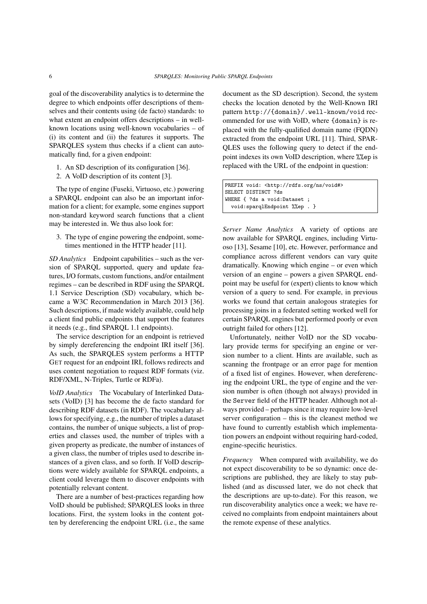goal of the discoverability analytics is to determine the degree to which endpoints offer descriptions of themselves and their contents using (de facto) standards: to what extent an endpoint offers descriptions – in wellknown locations using well-known vocabularies – of (i) its content and (ii) the features it supports. The SPARQLES system thus checks if a client can automatically find, for a given endpoint:

- 1. An SD description of its configuration [\[36\]](#page-16-3).
- 2. A VoID description of its content [\[3\]](#page-15-12).

The type of engine (Fuseki, Virtuoso, etc.) powering a SPARQL endpoint can also be an important information for a client; for example, some engines support non-standard keyword search functions that a client may be interested in. We thus also look for:

3. The type of engine powering the endpoint, sometimes mentioned in the HTTP header [\[11\]](#page-15-4).

*SD Analytics* Endpoint capabilities – such as the version of SPARQL supported, query and update features, I/O formats, custom functions, and/or entailment regimes – can be described in RDF using the SPARQL 1.1 Service Description (SD) vocabulary, which became a W3C Recommendation in March 2013 [\[36\]](#page-16-3). Such descriptions, if made widely available, could help a client find public endpoints that support the features it needs (e.g., find SPARQL 1.1 endpoints).

The service description for an endpoint is retrieved by simply dereferencing the endpoint IRI itself [\[36\]](#page-16-3). As such, the SPARQLES system performs a HTTP GET request for an endpoint IRI, follows redirects and uses content negotiation to request RDF formats (viz. RDF/XML, N-Triples, Turtle or RDFa).

*VoID Analytics* The Vocabulary of Interlinked Datasets (VoID) [\[3\]](#page-15-12) has become the de facto standard for describing RDF datasets (in RDF). The vocabulary allows for specifying, e.g., the number of triples a dataset contains, the number of unique subjects, a list of properties and classes used, the number of triples with a given property as predicate, the number of instances of a given class, the number of triples used to describe instances of a given class, and so forth. If VoID descriptions were widely available for SPARQL endpoints, a client could leverage them to discover endpoints with potentially relevant content.

There are a number of best-practices regarding how VoID should be published; SPARQLES looks in three locations. First, the system looks in the content gotten by dereferencing the endpoint URL (i.e., the same document as the SD description). Second, the system checks the location denoted by the Well-Known IRI pattern http://{domain}/.well-known/void recommended for use with VoID, where {domain} is replaced with the fully-qualified domain name (FQDN) extracted from the endpoint URL [\[11\]](#page-15-4). Third, SPAR-QLES uses the following query to detect if the endpoint indexes its own VoID description, where %%ep is replaced with the URL of the endpoint in question:

PREFIX void: <http://rdfs.org/ns/void#> SELECT DISTINCT ?ds WHERE { ?ds a void:Dataset ; void:sparqlEndpoint %%ep . }

*Server Name Analytics* A variety of options are now available for SPARQL engines, including Virtuoso [\[13\]](#page-15-13), Sesame [\[10\]](#page-15-14), etc. However, performance and compliance across different vendors can vary quite dramatically. Knowing which engine – or even which version of an engine – powers a given SPARQL endpoint may be useful for (expert) clients to know which version of a query to send. For example, in previous works we found that certain analogous strategies for processing joins in a federated setting worked well for certain SPARQL engines but performed poorly or even outright failed for others [\[12\]](#page-15-15).

Unfortunately, neither VoID nor the SD vocabulary provide terms for specifying an engine or version number to a client. Hints are available, such as scanning the frontpage or an error page for mention of a fixed list of engines. However, when dereferencing the endpoint URL, the type of engine and the version number is often (though not always) provided in the Server field of the HTTP header. Although not always provided – perhaps since it may require low-level server configuration – this is the cleanest method we have found to currently establish which implementation powers an endpoint without requiring hard-coded, engine-specific heuristics.

*Frequency* When compared with availability, we do not expect discoverability to be so dynamic: once descriptions are published, they are likely to stay published (and as discussed later, we do not check that the descriptions are up-to-date). For this reason, we run discoverability analytics once a week; we have received no complaints from endpoint maintainers about the remote expense of these analytics.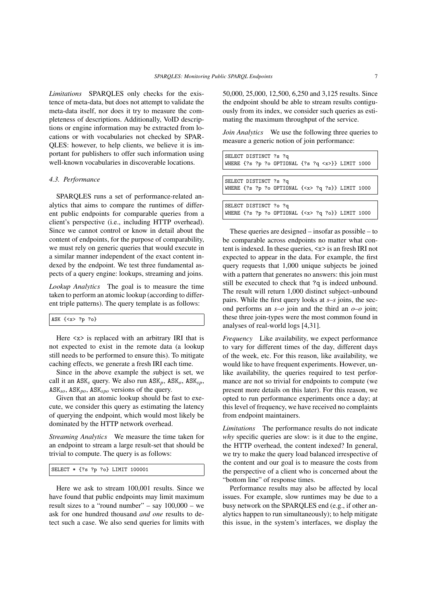*Limitations* SPARQLES only checks for the existence of meta-data, but does not attempt to validate the meta-data itself, nor does it try to measure the completeness of descriptions. Additionally, VoID descriptions or engine information may be extracted from locations or with vocabularies not checked by SPAR-QLES: however, to help clients, we believe it is important for publishers to offer such information using well-known vocabularies in discoverable locations.

#### *4.3. Performance*

SPARQLES runs a set of performance-related analytics that aims to compare the runtimes of different public endpoints for comparable queries from a client's perspective (i.e., including HTTP overhead). Since we cannot control or know in detail about the content of endpoints, for the purpose of comparability, we must rely on generic queries that would execute in a similar manner independent of the exact content indexed by the endpoint. We test three fundamental aspects of a query engine: lookups, streaming and joins.

*Lookup Analytics* The goal is to measure the time taken to perform an atomic lookup (according to different triple patterns). The query template is as follows:

ASK {<x> ?p ?o}

Here  $\langle x \rangle$  is replaced with an arbitrary IRI that is not expected to exist in the remote data (a lookup still needs to be performed to ensure this). To mitigate caching effects, we generate a fresh IRI each time.

Since in the above example the *s*ubject is set, we call it an ASK*<sup>s</sup>* query. We also run ASK*p*, ASK*o*, ASK*sp*, ASK*so*, ASK*po*, ASK*spo* versions of the query.

Given that an atomic lookup should be fast to execute, we consider this query as estimating the latency of querying the endpoint, which would most likely be dominated by the HTTP network overhead.

*Streaming Analytics* We measure the time taken for an endpoint to stream a large result-set that should be trivial to compute. The query is as follows:

SELECT \* {?s ?p ?o} LIMIT 100001

Here we ask to stream 100,001 results. Since we have found that public endpoints may limit maximum result sizes to a "round number" – say  $100,000$  – we ask for one hundred thousand *and one* results to detect such a case. We also send queries for limits with 50,000, 25,000, 12,500, 6,250 and 3,125 results. Since the endpoint should be able to stream results contiguously from its index, we consider such queries as estimating the maximum throughput of the service.

*Join Analytics* We use the following three queries to measure a generic notion of join performance:

| SELECT DISTINCT ?s ?q<br>WHERE $\{?s\ ?p\ ?o\$ OPTIONAL $\{?s\ ?q\ <x>}\}$ LIMIT 1000 |  |  |  |
|---------------------------------------------------------------------------------------|--|--|--|
|                                                                                       |  |  |  |
| SELECT DISTINCT ?s ?q<br>WHERE $\{?s\ ?p\ ?o\$ OPTIONAL $\{$ $?q\ ?s\}$ } LIMIT 1000  |  |  |  |
|                                                                                       |  |  |  |
| SELECT DISTINCT ?o ?q<br>WHERE $\{?s\ ?p\ ?o\$ OPTIONAL $\{$ $?q\ ?o\}$ LIMIT 1000    |  |  |  |

These queries are designed – insofar as possible – to be comparable across endpoints no matter what content is indexed. In these queries, <x> is an fresh IRI not expected to appear in the data. For example, the first query requests that 1,000 unique subjects be joined with a pattern that generates no answers: this join must still be executed to check that ?q is indeed unbound. The result will return 1,000 distinct subject–unbound pairs. While the first query looks at *s–s* joins, the second performs an *s–o* join and the third an *o–o* join; these three join-types were the most common found in analyses of real-world logs [\[4](#page-15-9)[,31\]](#page-16-9).

*Frequency* Like availability, we expect performance to vary for different times of the day, different days of the week, etc. For this reason, like availability, we would like to have frequent experiments. However, unlike availability, the queries required to test performance are not so trivial for endpoints to compute (we present more details on this later). For this reason, we opted to run performance experiments once a day; at this level of frequency, we have received no complaints from endpoint maintainers.

*Limitations* The performance results do not indicate *why* specific queries are slow: is it due to the engine, the HTTP overhead, the content indexed? In general, we try to make the query load balanced irrespective of the content and our goal is to measure the costs from the perspective of a client who is concerned about the "bottom line" of response times.

Performance results may also be affected by local issues. For example, slow runtimes may be due to a busy network on the SPARQLES end (e.g., if other analytics happen to run simultaneously); to help mitigate this issue, in the system's interfaces, we display the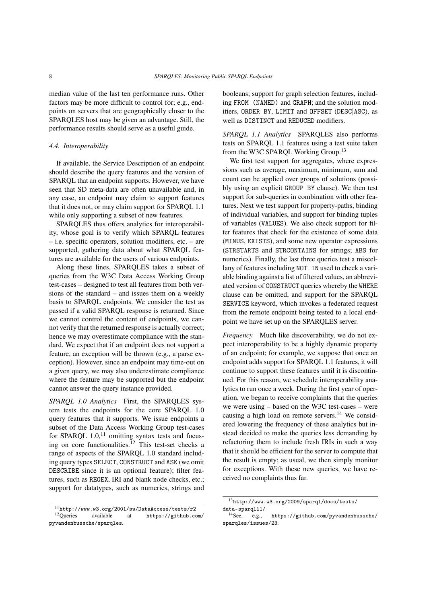median value of the last ten performance runs. Other factors may be more difficult to control for; e.g., endpoints on servers that are geographically closer to the SPARQLES host may be given an advantage. Still, the performance results should serve as a useful guide.

# *4.4. Interoperability*

If available, the Service Description of an endpoint should describe the query features and the version of SPARQL that an endpoint supports. However, we have seen that SD meta-data are often unavailable and, in any case, an endpoint may claim to support features that it does not, or may claim support for SPARQL 1.1 while only supporting a subset of new features.

SPARQLES thus offers analytics for interoperability, whose goal is to verify which SPARQL features – i.e. specific operators, solution modifiers, etc. – are supported, gathering data about what SPARQL features are available for the users of various endpoints.

Along these lines, SPARQLES takes a subset of queries from the W3C Data Access Working Group test-cases – designed to test all features from both versions of the standard – and issues them on a weekly basis to SPARQL endpoints. We consider the test as passed if a valid SPARQL response is returned. Since we cannot control the content of endpoints, we cannot verify that the returned response is actually correct; hence we may overestimate compliance with the standard. We expect that if an endpoint does not support a feature, an exception will be thrown (e.g., a parse exception). However, since an endpoint may time-out on a given query, we may also underestimate compliance where the feature may be supported but the endpoint cannot answer the query instance provided.

*SPARQL 1.0 Analytics* First, the SPARQLES system tests the endpoints for the core SPARQL 1.0 query features that it supports. We issue endpoints a subset of the Data Access Working Group test-cases for SPARQL  $1.0$ ,<sup>[11](#page-7-0)</sup> omitting syntax tests and focus-ing on core functionalities.<sup>[12](#page-7-1)</sup> This test-set checks a range of aspects of the SPARQL 1.0 standard including query types SELECT, CONSTRUCT and ASK (we omit DESCRIBE since it is an optional feature); filter features, such as REGEX, IRI and blank node checks, etc.; support for datatypes, such as numerics, strings and booleans; support for graph selection features, including FROM (NAMED) and GRAPH; and the solution modifiers, ORDER BY, LIMIT and OFFSET (DESC|ASC), as well as DISTINCT and REDUCED modifiers.

# *SPARQL 1.1 Analytics* SPARQLES also performs tests on SPARQL 1.1 features using a test suite taken from the W3C SPARQL Working Group.<sup>[13](#page-7-2)</sup>

We first test support for aggregates, where expressions such as average, maximum, minimum, sum and count can be applied over groups of solutions (possibly using an explicit GROUP BY clause). We then test support for sub-queries in combination with other features. Next we test support for property-paths, binding of individual variables, and support for binding tuples of variables (VALUES). We also check support for filter features that check for the existence of some data (MINUS, EXISTS), and some new operator expressions (STRSTARTS and STRCONTAINS for strings; ABS for numerics). Finally, the last three queries test a miscellany of features including NOT IN used to check a variable binding against a list of filtered values, an abbreviated version of CONSTRUCT queries whereby the WHERE clause can be omitted, and support for the SPARQL SERVICE keyword, which invokes a federated request from the remote endpoint being tested to a local endpoint we have set up on the SPARQLES server.

*Frequency* Much like discoverability, we do not expect interoperability to be a highly dynamic property of an endpoint; for example, we suppose that once an endpoint adds support for SPARQL 1.1 features, it will continue to support these features until it is discontinued. For this reason, we schedule interoperability analytics to run once a week. During the first year of operation, we began to receive complaints that the queries we were using – based on the W3C test-cases – were causing a high load on remote servers.[14](#page-7-3) We considered lowering the frequency of these analytics but instead decided to make the queries less demanding by refactoring them to include fresh IRIs in such a way that it should be efficient for the server to compute that the result is empty; as usual, we then simply monitor for exceptions. With these new queries, we have received no complaints thus far.

<span id="page-7-1"></span><span id="page-7-0"></span> $\frac{11}{11}$ <http://www.w3.org/2001/sw/DataAccess/tests/r2><br> $\frac{12}$ Queries available at https://github.com available at [https://github.com/](https://github.com/pyvandenbussche/sparqles) [pyvandenbussche/sparqles](https://github.com/pyvandenbussche/sparqles).

<span id="page-7-2"></span><sup>13</sup>[http://www.w3.org/2009/sparql/docs/tests/](http://www.w3.org/2009/sparql/docs/tests/data-sparql11/) [data-sparql11/](http://www.w3.org/2009/sparql/docs/tests/data-sparql11/)

<span id="page-7-3"></span><sup>14</sup>See, e.g., [https://github.com/pyvandenbussche/](https://github.com/pyvandenbussche/sparqles/issues/23) [sparqles/issues/23](https://github.com/pyvandenbussche/sparqles/issues/23).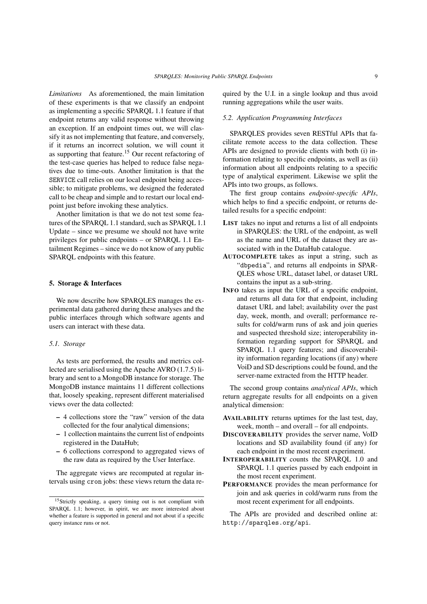*Limitations* As aforementioned, the main limitation of these experiments is that we classify an endpoint as implementing a specific SPARQL 1.1 feature if that endpoint returns any valid response without throwing an exception. If an endpoint times out, we will classify it as not implementing that feature, and conversely, if it returns an incorrect solution, we will count it as supporting that feature.[15](#page-8-1) Our recent refactoring of the test-case queries has helped to reduce false negatives due to time-outs. Another limitation is that the SERVICE call relies on our local endpoint being accessible; to mitigate problems, we designed the federated call to be cheap and simple and to restart our local endpoint just before invoking these analytics.

Another limitation is that we do not test some features of the SPARQL 1.1 standard, such as SPARQL 1.1 Update – since we presume we should not have write privileges for public endpoints – or SPARQL 1.1 Entailment Regimes – since we do not know of any public SPARQL endpoints with this feature.

#### <span id="page-8-0"></span>5. Storage & Interfaces

We now describe how SPARQLES manages the experimental data gathered during these analyses and the public interfaces through which software agents and users can interact with these data.

## *5.1. Storage*

As tests are performed, the results and metrics collected are serialised using the Apache AVRO (1.7.5) library and sent to a MongoDB instance for storage. The MongoDB instance maintains 11 different collections that, loosely speaking, represent different materialised views over the data collected:

- 4 collections store the "raw" version of the data collected for the four analytical dimensions;
- 1 collection maintains the current list of endpoints registered in the DataHub;
- 6 collections correspond to aggregated views of the raw data as required by the User Interface.

The aggregate views are recomputed at regular intervals using cron jobs: these views return the data required by the U.I. in a single lookup and thus avoid running aggregations while the user waits.

### *5.2. Application Programming Interfaces*

SPARQLES provides seven RESTful APIs that facilitate remote access to the data collection. These APIs are designed to provide clients with both (i) information relating to specific endpoints, as well as (ii) information about all endpoints relating to a specific type of analytical experiment. Likewise we split the APIs into two groups, as follows.

The first group contains *endpoint-specific APIs*, which helps to find a specific endpoint, or returns detailed results for a specific endpoint:

- LIST takes no input and returns a list of all endpoints in SPARQLES: the URL of the endpoint, as well as the name and URL of the dataset they are associated with in the DataHub catalogue.
- AUTOCOMPLETE takes as input a string, such as "dbpedia", and returns all endpoints in SPAR-QLES whose URL, dataset label, or dataset URL contains the input as a sub-string.
- INFO takes as input the URL of a specific endpoint, and returns all data for that endpoint, including dataset URL and label; availability over the past day, week, month, and overall; performance results for cold/warm runs of ask and join queries and suspected threshold size; interoperability information regarding support for SPARQL and SPARQL 1.1 query features; and discoverability information regarding locations (if any) where VoiD and SD descriptions could be found, and the server-name extracted from the HTTP header.

The second group contains *analytical APIs*, which return aggregate results for all endpoints on a given analytical dimension:

- AVAILABILITY returns uptimes for the last test, day, week, month – and overall – for all endpoints.
- DISCOVERABILITY provides the server name, VoID locations and SD availability found (if any) for each endpoint in the most recent experiment.
- INTEROPERABILITY counts the SPARQL 1.0 and SPARQL 1.1 queries passed by each endpoint in the most recent experiment.
- PERFORMANCE provides the mean performance for join and ask queries in cold/warm runs from the most recent experiment for all endpoints.

The APIs are provided and described online at: <http://sparqles.org/api>.

<span id="page-8-1"></span><sup>&</sup>lt;sup>15</sup>Strictly speaking, a query timing out is not compliant with SPARQL 1.1; however, in spirit, we are more interested about whether a feature is supported in general and not about if a specific query instance runs or not.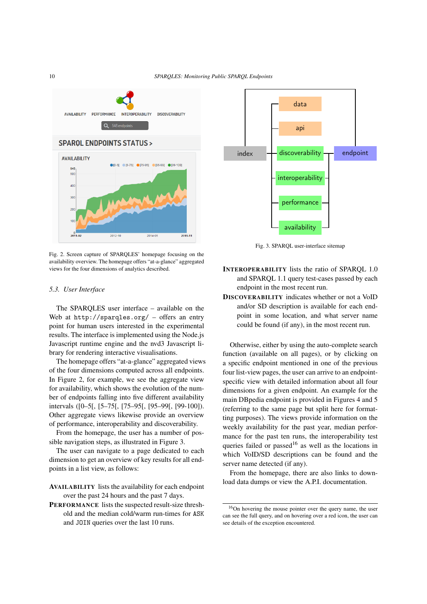<span id="page-9-0"></span>

Fig. 2. Screen capture of SPARQLES' homepage focusing on the availability overview. The homepage offers "at-a-glance" aggregated views for the four dimensions of analytics described.

## *5.3. User Interface*

The SPARQLES user interface – available on the Web at <http://sparqles.org/> – offers an entry point for human users interested in the experimental results. The interface is implemented using the Node.js Javascript runtime engine and the nvd3 Javascript library for rendering interactive visualisations.

The homepage offers "at-a-glance" aggregated views of the four dimensions computed across all endpoints. In Figure [2,](#page-9-0) for example, we see the aggregate view for availability, which shows the evolution of the number of endpoints falling into five different availability intervals ([0–5[, [5–75[, [75–95[, [95–99[, [99-100]). Other aggregate views likewise provide an overview of performance, interoperability and discoverability.

From the homepage, the user has a number of possible navigation steps, as illustrated in Figure [3.](#page-9-1)

The user can navigate to a page dedicated to each dimension to get an overview of key results for all endpoints in a list view, as follows:

AVAILABILITY lists the availability for each endpoint over the past 24 hours and the past 7 days.

PERFORMANCE lists the suspected result-size threshold and the median cold/warm run-times for ASK and JOIN queries over the last 10 runs.

<span id="page-9-1"></span>

Fig. 3. SPARQL user-interface sitemap

- INTEROPERABILITY lists the ratio of SPARQL 1.0 and SPARQL 1.1 query test-cases passed by each endpoint in the most recent run.
- DISCOVERABILITY indicates whether or not a VoID and/or SD description is available for each endpoint in some location, and what server name could be found (if any), in the most recent run.

Otherwise, either by using the auto-complete search function (available on all pages), or by clicking on a specific endpoint mentioned in one of the previous four list-view pages, the user can arrive to an endpointspecific view with detailed information about all four dimensions for a given endpoint. An example for the main DBpedia endpoint is provided in Figures [4](#page-10-1) and [5](#page-11-0) (referring to the same page but split here for formatting purposes). The views provide information on the weekly availability for the past year, median performance for the past ten runs, the interoperability test queries failed or passed<sup>[16](#page-9-2)</sup> as well as the locations in which VoID/SD descriptions can be found and the server name detected (if any).

From the homepage, there are also links to download data dumps or view the A.P.I. documentation.

<span id="page-9-2"></span><sup>16</sup>On hovering the mouse pointer over the query name, the user can see the full query, and on hovering over a red icon, the user can see details of the exception encountered.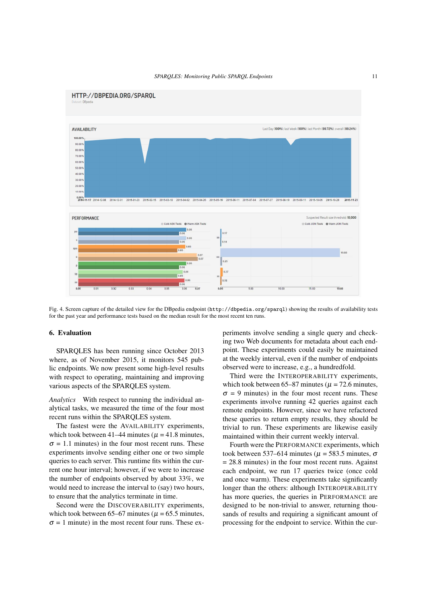<span id="page-10-1"></span>

Fig. 4. Screen capture of the detailed view for the DBpedia endpoint (<http://dbpedia.org/sparql>) showing the results of availability tests for the past year and performance tests based on the median result for the most recent ten runs.

# <span id="page-10-0"></span>6. Evaluation

SPARQLES has been running since October 2013 where, as of November 2015, it monitors 545 public endpoints. We now present some high-level results with respect to operating, maintaining and improving various aspects of the SPARQLES system.

*Analytics* With respect to running the individual analytical tasks, we measured the time of the four most recent runs within the SPARQLES system.

The fastest were the AVAILABILITY experiments, which took between 41–44 minutes ( $\mu$  = 41.8 minutes,  $\sigma = 1.1$  minutes) in the four most recent runs. These experiments involve sending either one or two simple queries to each server. This runtime fits within the current one hour interval; however, if we were to increase the number of endpoints observed by about 33%, we would need to increase the interval to (say) two hours, to ensure that the analytics terminate in time.

Second were the DISCOVERABILITY experiments, which took between 65–67 minutes ( $\mu$  = 65.5 minutes,  $\sigma = 1$  minute) in the most recent four runs. These experiments involve sending a single query and checking two Web documents for metadata about each endpoint. These experiments could easily be maintained at the weekly interval, even if the number of endpoints observed were to increase, e.g., a hundredfold.

Third were the INTEROPERABILITY experiments, which took between 65–87 minutes ( $\mu$  = 72.6 minutes,  $\sigma = 9$  minutes) in the four most recent runs. These experiments involve running 42 queries against each remote endpoints. However, since we have refactored these queries to return empty results, they should be trivial to run. These experiments are likewise easily maintained within their current weekly interval.

Fourth were the PERFORMANCE experiments, which took between 537–614 minutes ( $\mu$  = 583.5 minutes,  $\sigma$  $= 28.8$  minutes) in the four most recent runs. Against each endpoint, we run 17 queries twice (once cold and once warm). These experiments take significantly longer than the others: although INTEROPERABILITY has more queries, the queries in PERFORMANCE are designed to be non-trivial to answer, returning thousands of results and requiring a significant amount of processing for the endpoint to service. Within the cur-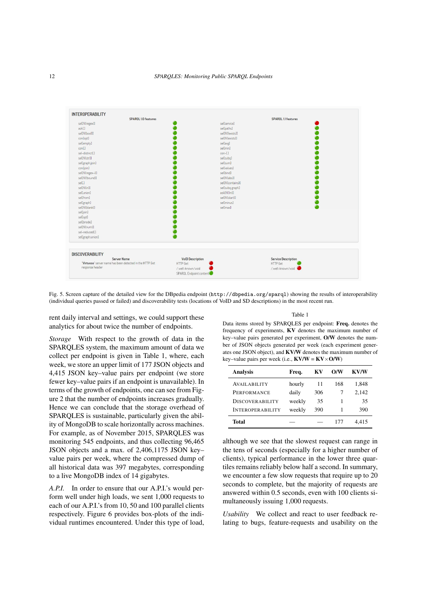<span id="page-11-0"></span>

Fig. 5. Screen capture of the detailed view for the DBpedia endpoint (<http://dbpedia.org/sparql>) showing the results of interoperability (individual queries passed or failed) and discoverability tests (locations of VoID and SD descriptions) in the most recent run.

rent daily interval and settings, we could support these analytics for about twice the number of endpoints.

*Storage* With respect to the growth of data in the SPARQLES system, the maximum amount of data we collect per endpoint is given in Table [1,](#page-11-1) where, each week, we store an upper limit of 177 JSON objects and 4,415 JSON key–value pairs per endpoint (we store fewer key–value pairs if an endpoint is unavailable). In terms of the growth of endpoints, one can see from Figure [2](#page-9-0) that the number of endpoints increases gradually. Hence we can conclude that the storage overhead of SPARQLES is sustainable, particularly given the ability of MongoDB to scale horizontally across machines. For example, as of November 2015, SPARQLES was monitoring 545 endpoints, and thus collecting 96,465 JSON objects and a max. of 2,406,1175 JSON key– value pairs per week, where the compressed dump of all historical data was 397 megabytes, corresponding to a live MongoDB index of 14 gigabytes.

*A.P.I.* In order to ensure that our A.P.I.'s would perform well under high loads, we sent 1,000 requests to each of our A.P.I.'s from 10, 50 and 100 parallel clients respectively. Figure [6](#page-12-1) provides box-plots of the individual runtimes encountered. Under this type of load,

#### Table 1

<span id="page-11-1"></span>Data items stored by SPARQLES per endpoint: Freq. denotes the frequency of experiments, KV denotes the maximum number of key–value pairs generated per experiment, O/W denotes the number of JSON objects generated per week (each experiment generates one JSON object), and KV/W denotes the maximum number of key–value pairs per week (i.e.,  $\angle$ KV/W =  $\angle$ KV  $\times$ O/W)

| <b>Analysis</b>         | Freq.  | КV  | O/W | <b>KV/W</b> |
|-------------------------|--------|-----|-----|-------------|
| <b>AVAILABILITY</b>     | hourly | 11  | 168 | 1,848       |
| <b>PERFORMANCE</b>      | daily  | 306 |     | 2,142       |
| <b>DISCOVERABILITY</b>  | weekly | 35  |     | 35          |
| <b>INTEROPERABILITY</b> | weekly | 390 |     | 390         |
| Total                   |        |     | 177 | 4.415       |

although we see that the slowest request can range in the tens of seconds (especially for a higher number of clients), typical performance in the lower three quartiles remains reliably below half a second. In summary, we encounter a few slow requests that require up to 20 seconds to complete, but the majority of requests are answered within 0.5 seconds, even with 100 clients simultaneously issuing 1,000 requests.

*Usability* We collect and react to user feedback relating to bugs, feature-requests and usability on the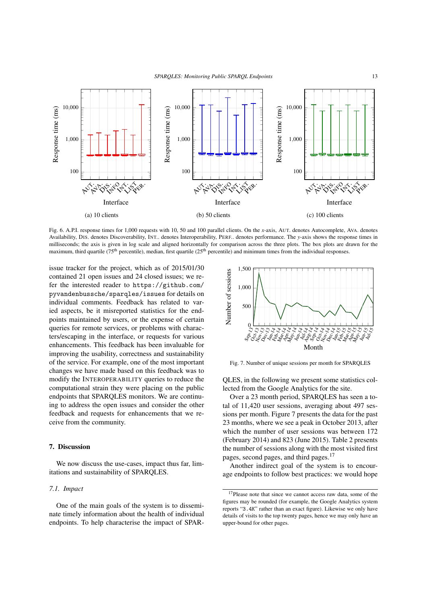<span id="page-12-1"></span>

Fig. 6. A.P.I. response times for 1,000 requests with 10, 50 and 100 parallel clients. On the *x*-axis, AUT. denotes Autocomplete, AVA. denotes Availability, DIS. denotes Discoverability, INT.. denotes Interoperability, PERF.. denotes performance. The *y*-axis shows the response times in milliseconds; the axis is given in log scale and aligned horizontally for comparison across the three plots. The box plots are drawn for the maximum, third quartile (75<sup>th</sup> percentile), median, first quartile (25<sup>th</sup> percentile) and minimum times from the individual responses.

issue tracker for the project, which as of 2015/01/30 contained 21 open issues and 24 closed issues; we refer the interested reader to [https://github.com/](https://github.com/pyvandenbussche/sparqles/issues) [pyvandenbussche/sparqles/issues](https://github.com/pyvandenbussche/sparqles/issues) for details on individual comments. Feedback has related to varied aspects, be it misreported statistics for the endpoints maintained by users, or the expense of certain queries for remote services, or problems with characters/escaping in the interface, or requests for various enhancements. This feedback has been invaluable for improving the usability, correctness and sustainability of the service. For example, one of the most important changes we have made based on this feedback was to modify the INTEROPERABILITY queries to reduce the computational strain they were placing on the public endpoints that SPARQLES monitors. We are continuing to address the open issues and consider the other feedback and requests for enhancements that we receive from the community.

# <span id="page-12-0"></span>7. Discussion

We now discuss the use-cases, impact thus far, limitations and sustainability of SPARQLES.

## *7.1. Impact*

One of the main goals of the system is to disseminate timely information about the health of individual endpoints. To help characterise the impact of SPAR-

<span id="page-12-2"></span>

Fig. 7. Number of unique sessions per month for SPARQLES

QLES, in the following we present some statistics collected from the Google Analytics for the site.

Over a 23 month period, SPARQLES has seen a total of 11,420 user sessions, averaging about 497 sessions per month. Figure [7](#page-12-2) presents the data for the past 23 months, where we see a peak in October 2013, after which the number of user sessions was between 172 (February 2014) and 823 (June 2015). Table [2](#page-13-0) presents the number of sessions along with the most visited first pages, second pages, and third pages.[17](#page-12-3)

Another indirect goal of the system is to encourage endpoints to follow best practices: we would hope

<span id="page-12-3"></span><sup>&</sup>lt;sup>17</sup>Please note that since we cannot access raw data, some of the figures may be rounded (for example, the Google Analytics system reports "3.4K" rather than an exact figure). Likewise we only have details of visits to the top twenty pages, hence we may only have an upper-bound for other pages.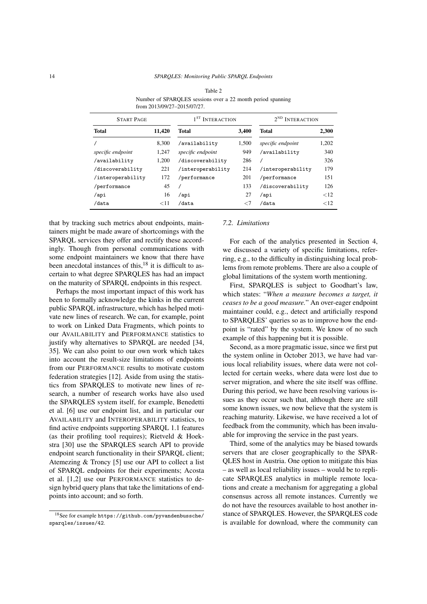<span id="page-13-0"></span>

| <b>START PAGE</b> |        | <sup>1<sup>ST</sup> INTERACTION</sup> |        | 2 <sup>ND</sup> INTERACTION |       |
|-------------------|--------|---------------------------------------|--------|-----------------------------|-------|
| <b>Total</b>      | 11.420 | <b>Total</b>                          | 3.400  | <b>Total</b>                | 2,300 |
| $\prime$          | 8.300  | /availability                         | 1.500  | specific endpoint           | 1,202 |
| specific endpoint | 1.247  | specific endpoint                     | 949    | /availability               | 340   |
| /availability     | 1.200  | /discoverability                      | 286    |                             | 326   |
| /discoverability  | 221    | /interoperability                     | 214    | /interoperability           | 179   |
| /interoperability | 172    | /performance                          | 201    | /performance                | 151   |
| /performance      | 45     |                                       | 133    | /discoverability            | 126   |
| $\sqrt{api}$      | 16     | /api                                  | 27     | $\sqrt{api}$                | <12   |
| /data             | <11    | /data                                 | ${<}7$ | /data                       | <12   |

| Table 2                                                     |
|-------------------------------------------------------------|
| Number of SPARQLES sessions over a 22 month period spanning |
| from 2013/09/27-2015/07/27.                                 |

that by tracking such metrics about endpoints, maintainers might be made aware of shortcomings with the SPARQL services they offer and rectify these accordingly. Though from personal communications with some endpoint maintainers we know that there have been anecdotal instances of this,<sup>[18](#page-13-1)</sup> it is difficult to ascertain to what degree SPARQLES has had an impact on the maturity of SPARQL endpoints in this respect.

Perhaps the most important impact of this work has been to formally acknowledge the kinks in the current public SPARQL infrastructure, which has helped motivate new lines of research. We can, for example, point to work on Linked Data Fragments, which points to our AVAILABILITY and PERFORMANCE statistics to justify why alternatives to SPARQL are needed [\[34,](#page-16-11) [35\]](#page-16-12). We can also point to our own work which takes into account the result-size limitations of endpoints from our PERFORMANCE results to motivate custom federation strategies [\[12\]](#page-15-15). Aside from using the statistics from SPARQLES to motivate new lines of research, a number of research works have also used the SPARQLES system itself, for example, Benedetti et al. [\[6\]](#page-15-16) use our endpoint list, and in particular our AVAILABILITY and INTEROPERABILITY statistics, to find active endpoints supporting SPARQL 1.1 features (as their profiling tool requires); Rietveld & Hoekstra [\[30\]](#page-16-13) use the SPARQLES search API to provide endpoint search functionality in their SPARQL client; Atemezing & Troncy [\[5\]](#page-15-17) use our API to collect a list of SPARQL endpoints for their experiments; Acosta et al. [\[1,](#page-15-18)[2\]](#page-15-19) use our PERFORMANCE statistics to design hybrid query plans that take the limitations of endpoints into account; and so forth.

#### *7.2. Limitations*

For each of the analytics presented in Section [4,](#page-4-0) we discussed a variety of specific limitations, referring, e.g., to the difficulty in distinguishing local problems from remote problems. There are also a couple of global limitations of the system worth mentioning.

First, SPARQLES is subject to Goodhart's law, which states: "*When a measure becomes a target, it ceases to be a good measure.*" An over-eager endpoint maintainer could, e.g., detect and artificially respond to SPARQLES' queries so as to improve how the endpoint is "rated" by the system. We know of no such example of this happening but it is possible.

Second, as a more pragmatic issue, since we first put the system online in October 2013, we have had various local reliability issues, where data were not collected for certain weeks, where data were lost due to server migration, and where the site itself was offline. During this period, we have been resolving various issues as they occur such that, although there are still some known issues, we now believe that the system is reaching maturity. Likewise, we have received a lot of feedback from the community, which has been invaluable for improving the service in the past years.

Third, some of the analytics may be biased towards servers that are closer geographically to the SPAR-QLES host in Austria. One option to mitigate this bias – as well as local reliability issues – would be to replicate SPARQLES analytics in multiple remote locations and create a mechanism for aggregating a global consensus across all remote instances. Currently we do not have the resources available to host another instance of SPARQLES. However, the SPARQLES code is available for download, where the community can

<span id="page-13-1"></span><sup>18</sup>See for example [https://github.com/pyvandenbussche/](https://github.com/pyvandenbussche/sparqles/issues/42) [sparqles/issues/42](https://github.com/pyvandenbussche/sparqles/issues/42).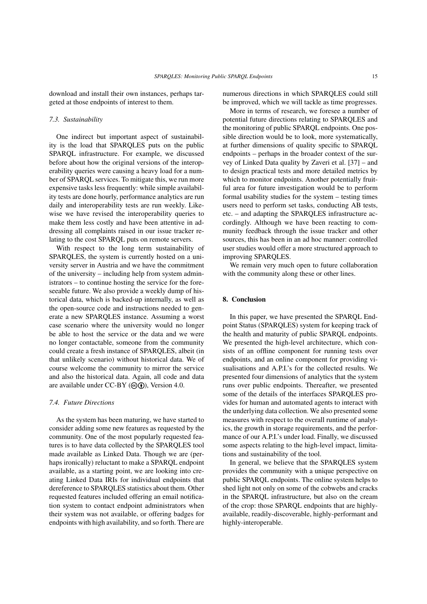download and install their own instances, perhaps targeted at those endpoints of interest to them.

#### *7.3. Sustainability*

One indirect but important aspect of sustainability is the load that SPARQLES puts on the public SPARQL infrastructure. For example, we discussed before about how the original versions of the interoperability queries were causing a heavy load for a number of SPARQL services. To mitigate this, we run more expensive tasks less frequently: while simple availability tests are done hourly, performance analytics are run daily and interoperability tests are run weekly. Likewise we have revised the interoperability queries to make them less costly and have been attentive in addressing all complaints raised in our issue tracker relating to the cost SPARQL puts on remote servers.

With respect to the long term sustainability of SPARQLES, the system is currently hosted on a university server in Austria and we have the commitment of the university – including help from system administrators – to continue hosting the service for the foreseeable future. We also provide a weekly dump of historical data, which is backed-up internally, as well as the open-source code and instructions needed to generate a new SPARQLES instance. Assuming a worst case scenario where the university would no longer be able to host the service or the data and we were no longer contactable, someone from the community could create a fresh instance of SPARQLES, albeit (in that unlikely scenario) without historical data. We of course welcome the community to mirror the service and also the historical data. Again, all code and data are available under CC-BY ( $\Theta$  $)$ ), Version 4.0.

# *7.4. Future Directions*

As the system has been maturing, we have started to consider adding some new features as requested by the community. One of the most popularly requested features is to have data collected by the SPARQLES tool made available as Linked Data. Though we are (perhaps ironically) reluctant to make a SPARQL endpoint available, as a starting point, we are looking into creating Linked Data IRIs for individual endpoints that dereference to SPARQLES statistics about them. Other requested features included offering an email notification system to contact endpoint administrators when their system was not available, or offering badges for endpoints with high availability, and so forth. There are numerous directions in which SPARQLES could still be improved, which we will tackle as time progresses.

More in terms of research, we foresee a number of potential future directions relating to SPARQLES and the monitoring of public SPARQL endpoints. One possible direction would be to look, more systematically, at further dimensions of quality specific to SPARQL endpoints – perhaps in the broader context of the survey of Linked Data quality by Zaveri et al. [\[37\]](#page-16-14) – and to design practical tests and more detailed metrics by which to monitor endpoints. Another potentially fruitful area for future investigation would be to perform formal usability studies for the system – testing times users need to perform set tasks, conducting AB tests, etc. – and adapting the SPARQLES infrastructure accordingly. Although we have been reacting to community feedback through the issue tracker and other sources, this has been in an ad hoc manner: controlled user studies would offer a more structured approach to improving SPARQLES.

We remain very much open to future collaboration with the community along these or other lines.

# <span id="page-14-0"></span>8. Conclusion

In this paper, we have presented the SPARQL Endpoint Status (SPARQLES) system for keeping track of the health and maturity of public SPARQL endpoints. We presented the high-level architecture, which consists of an offline component for running tests over endpoints, and an online component for providing visualisations and A.P.I.'s for the collected results. We presented four dimensions of analytics that the system runs over public endpoints. Thereafter, we presented some of the details of the interfaces SPARQLES provides for human and automated agents to interact with the underlying data collection. We also presented some measures with respect to the overall runtime of analytics, the growth in storage requirements, and the performance of our A.P.I.'s under load. Finally, we discussed some aspects relating to the high-level impact, limitations and sustainability of the tool.

In general, we believe that the SPARQLES system provides the community with a unique perspective on public SPARQL endpoints. The online system helps to shed light not only on some of the cobwebs and cracks in the SPARQL infrastructure, but also on the cream of the crop: those SPARQL endpoints that are highlyavailable, readily-discoverable, highly-performant and highly-interoperable.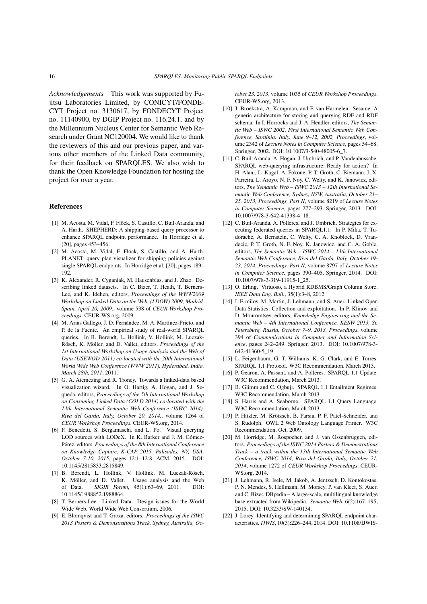*Acknowledgements* This work was supported by Fujitsu Laboratories Limited, by CONICYT/FONDE-CYT Project no. 3130617, by FONDECYT Project no. 11140900, by DGIP Project no. 116.24.1, and by the Millennium Nucleus Center for Semantic Web Research under Grant NC120004. We would like to thank the reviewers of this and our previous paper, and various other members of the Linked Data community, for their feedback on SPARQLES. We also wish to thank the Open Knowledge Foundation for hosting the project for over a year.

#### References

- <span id="page-15-18"></span>[1] M. Acosta, M. Vidal, F. Flöck, S. Castillo, C. Buil-Aranda, and A. Harth. SHEPHERD: A shipping-based query processor to enhance SPARQL endpoint performance. In Horridge et al. [\[20\]](#page-15-20), pages 453–456.
- <span id="page-15-19"></span>[2] M. Acosta, M. Vidal, F. Flöck, S. Castillo, and A. Harth. PLANET: query plan visualizer for shipping policies against single SPARQL endpoints. In Horridge et al. [\[20\]](#page-15-20), pages 189– 192.
- <span id="page-15-12"></span>[3] K. Alexander, R. Cyganiak, M. Hausenblas, and J. Zhao. Describing linked datasets. In C. Bizer, T. Heath, T. Berners-Lee, and K. Idehen, editors, *Proceedings of the WWW2009 Workshop on Linked Data on the Web, (LDOW) 2009, Madrid, Spain, April 20, 2009.*, volume 538 of *CEUR Workshop Proceedings*. CEUR-WS.org, 2009.
- <span id="page-15-9"></span>[4] M. Arias Gallego, J. D. Fernández, M. A. Martínez-Prieto, and P. de la Fuente. An empirical study of real-world SPARQL queries. In B. Berendt, L. Hollink, V. Hollink, M. Luczak-Rösch, K. Möller, and D. Vallet, editors, *Proceedings of the 1st International Workshop on Usage Analysis and the Web of Data (USEWOD 2011) co-located with the 20th International World Wide Web Conference (WWW 2011), Hyderabad, India, March 28th, 2011*, 2011.
- <span id="page-15-17"></span>[5] G. A. Atemezing and R. Troncy. Towards a linked-data based visualization wizard. In O. Hartig, A. Hogan, and J. Sequeda, editors, *Proceedings of the 5th International Workshop on Consuming Linked Data (COLD 2014) co-located with the 13th International Semantic Web Conference (ISWC 2014), Riva del Garda, Italy, October 20, 2014.*, volume 1264 of *CEUR Workshop Proceedings*. CEUR-WS.org, 2014.
- <span id="page-15-16"></span>[6] F. Benedetti, S. Bergamaschi, and L. Po. Visual querying LOD sources with LODeX. In K. Barker and J. M. Gómez-Pérez, editors, *Proceedings of the 8th International Conference on Knowledge Capture, K-CAP 2015, Palisades, NY, USA, October 7-10, 2015*, pages 12:1–12:8. ACM, 2015. DOI: 10.1145/2815833.2815849.
- <span id="page-15-11"></span>[7] B. Berendt, L. Hollink, V. Hollink, M. Luczak-Rösch, K. Möller, and D. Vallet. Usage analysis and the Web of Data. *SIGIR Forum*, 45(1):63–69, 2011. DOI: 10.1145/1988852.1988864.
- <span id="page-15-2"></span>[8] T. Berners-Lee. Linked Data. Design issues for the World Wide Web, World Wide Web Consortium, 2006.
- <span id="page-15-21"></span>[9] E. Blomqvist and T. Groza, editors. *Proceedings of the ISWC 2013 Posters & Demonstrations Track, Sydney, Australia, Oc-*

*tober 23, 2013*, volume 1035 of *CEUR Workshop Proceedings*. CEUR-WS.org, 2013.

- <span id="page-15-14"></span>[10] J. Broekstra, A. Kampman, and F. van Harmelen. Sesame: A generic architecture for storing and querying RDF and RDF schema. In I. Horrocks and J. A. Hendler, editors, *The Semantic Web – ISWC 2002, First International Semantic Web Conference, Sardinia, Italy, June 9–12, 2002, Proceedings*, volume 2342 of *Lecture Notes in Computer Science*, pages 54–68. Springer, 2002. DOI: 10.1007/3-540-48005-6\_7.
- <span id="page-15-4"></span>[11] C. Buil-Aranda, A. Hogan, J. Umbrich, and P. Vandenbussche. SPARQL web-querying infrastructure: Ready for action? In H. Alani, L. Kagal, A. Fokoue, P. T. Groth, C. Biemann, J. X. Parreira, L. Aroyo, N. F. Noy, C. Welty, and K. Janowicz, editors, *The Semantic Web – ISWC 2013 – 12th International Semantic Web Conference, Sydney, NSW, Australia, October 21– 25, 2013, Proceedings, Part II*, volume 8219 of *Lecture Notes in Computer Science*, pages 277–293. Springer, 2013. DOI: 10.1007/978-3-642-41338-4\_18.
- <span id="page-15-15"></span>[12] C. Buil-Aranda, A. Polleres, and J. Umbrich. Strategies for executing federated queries in SPARQL1.1. In P. Mika, T. Tudorache, A. Bernstein, C. Welty, C. A. Knoblock, D. Vrandecic, P. T. Groth, N. F. Noy, K. Janowicz, and C. A. Goble, editors, *The Semantic Web – ISWC 2014 – 13th International Semantic Web Conference, Riva del Garda, Italy, October 19- 23, 2014. Proceedings, Part II*, volume 8797 of *Lecture Notes in Computer Science*, pages 390–405. Springer, 2014. DOI: 10.1007/978-3-319-11915-1\_25.
- <span id="page-15-13"></span>[13] O. Erling. Virtuoso, a Hybrid RDBMS/Graph Column Store. *IEEE Data Eng. Bull.*, 35(1):3–8, 2012.
- <span id="page-15-3"></span>[14] I. Ermilov, M. Martin, J. Lehmann, and S. Auer. Linked Open Data Statistics: Collection and exploitation. In P. Klinov and D. Mouromtsev, editors, *Knowledge Engineering and the Semantic Web – 4th International Conference, KESW 2013, St. Petersburg, Russia, October 7–9, 2013. Proceedings*, volume 394 of *Communications in Computer and Information Science*, pages 242–249. Springer, 2013. DOI: 10.1007/978-3- 642-41360-5\_19.
- <span id="page-15-6"></span>[15] L. Feigenbaum, G. T. Williams, K. G. Clark, and E. Torres. SPARQL 1.1 Protocol. W3C Recommendation, March 2013.
- <span id="page-15-7"></span>[16] P. Gearon, A. Passant, and A. Polleres. SPARQL 1.1 Update. W3C Recommendation, March 2013.
- <span id="page-15-8"></span>[17] B. Glimm and C. Ogbuji. SPARQL 1.1 Entailment Regimes. W3C Recommendation, March 2013.
- <span id="page-15-5"></span>[18] S. Harris and A. Seaborne. SPARQL 1.1 Query Language. W3C Recommendation, March 2013.
- <span id="page-15-1"></span>[19] P. Hitzler, M. Krötzsch, B. Parsia, P. F. Patel-Schneider, and S. Rudolph. OWL 2 Web Ontology Language Primer. W3C Recommendation, Oct. 2009.
- <span id="page-15-20"></span>[20] M. Horridge, M. Rospocher, and J. van Ossenbruggen, editors. *Proceedings of the ISWC 2014 Posters & Demonstrations Track – a track within the 13th International Semantic Web Conference, ISWC 2014, Riva del Garda, Italy, October 21, 2014*, volume 1272 of *CEUR Workshop Proceedings*. CEUR-WS.org, 2014.
- <span id="page-15-0"></span>[21] J. Lehmann, R. Isele, M. Jakob, A. Jentzsch, D. Kontokostas, P. N. Mendes, S. Hellmann, M. Morsey, P. van Kleef, S. Auer, and C. Bizer. DBpedia – A large-scale, multilingual knowledge base extracted from Wikipedia. *Semantic Web*, 6(2):167–195, 2015. DOI: 10.3233/SW-140134.
- <span id="page-15-10"></span>[22] J. Lorey. Identifying and determining SPARQL endpoint characteristics. *IJWIS*, 10(3):226–244, 2014. DOI: 10.1108/IJWIS-